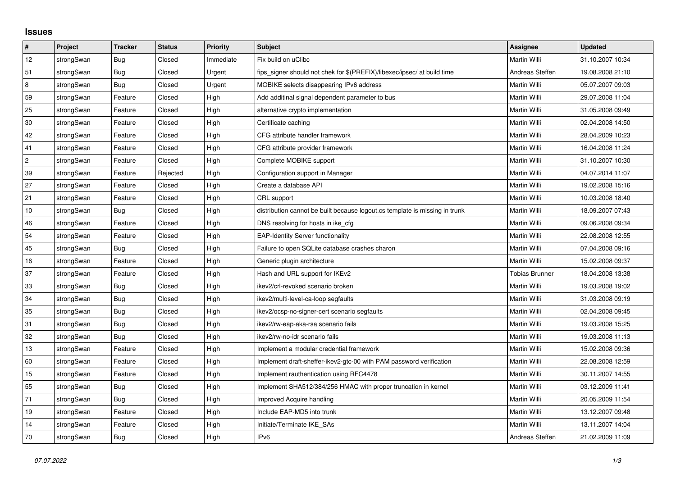## **Issues**

| #              | Project    | <b>Tracker</b> | <b>Status</b> | <b>Priority</b> | Subject                                                                     | <b>Assignee</b>       | <b>Updated</b>   |
|----------------|------------|----------------|---------------|-----------------|-----------------------------------------------------------------------------|-----------------------|------------------|
| 12             | strongSwan | Bug            | Closed        | Immediate       | Fix build on uClibc                                                         | Martin Willi          | 31.10.2007 10:34 |
| 51             | strongSwan | Bug            | Closed        | Urgent          | fips signer should not chek for \$(PREFIX)/libexec/ipsec/ at build time     | Andreas Steffen       | 19.08.2008 21:10 |
| $\,$ 8 $\,$    | strongSwan | Bug            | Closed        | Urgent          | MOBIKE selects disappearing IPv6 address                                    | Martin Willi          | 05.07.2007 09:03 |
| 59             | strongSwan | Feature        | Closed        | High            | Add additinal signal dependent parameter to bus                             | Martin Willi          | 29.07.2008 11:04 |
| 25             | strongSwan | Feature        | Closed        | High            | alternative crypto implementation                                           | Martin Willi          | 31.05.2008 09:49 |
| $30\,$         | strongSwan | Feature        | Closed        | High            | Certificate caching                                                         | Martin Willi          | 02.04.2008 14:50 |
| 42             | strongSwan | Feature        | Closed        | High            | CFG attribute handler framework                                             | Martin Willi          | 28.04.2009 10:23 |
| 41             | strongSwan | Feature        | Closed        | High            | CFG attribute provider framework                                            | Martin Willi          | 16.04.2008 11:24 |
| $\overline{c}$ | strongSwan | Feature        | Closed        | High            | Complete MOBIKE support                                                     | Martin Willi          | 31.10.2007 10:30 |
| 39             | strongSwan | Feature        | Rejected      | High            | Configuration support in Manager                                            | Martin Willi          | 04.07.2014 11:07 |
| 27             | strongSwan | Feature        | Closed        | High            | Create a database API                                                       | Martin Willi          | 19.02.2008 15:16 |
| 21             | strongSwan | Feature        | Closed        | High            | CRL support                                                                 | Martin Willi          | 10.03.2008 18:40 |
| 10             | strongSwan | Bug            | Closed        | High            | distribution cannot be built because logout.cs template is missing in trunk | Martin Willi          | 18.09.2007 07:43 |
| 46             | strongSwan | Feature        | Closed        | High            | DNS resolving for hosts in ike_cfg                                          | Martin Willi          | 09.06.2008 09:34 |
| 54             | strongSwan | Feature        | Closed        | High            | <b>EAP-Identity Server functionality</b>                                    | Martin Willi          | 22.08.2008 12:55 |
| 45             | strongSwan | Bug            | Closed        | High            | Failure to open SQLite database crashes charon                              | Martin Willi          | 07.04.2008 09:16 |
| 16             | strongSwan | Feature        | Closed        | High            | Generic plugin architecture                                                 | Martin Willi          | 15.02.2008 09:37 |
| 37             | strongSwan | Feature        | Closed        | High            | Hash and URL support for IKEv2                                              | <b>Tobias Brunner</b> | 18.04.2008 13:38 |
| 33             | strongSwan | <b>Bug</b>     | Closed        | High            | ikev2/crl-revoked scenario broken                                           | Martin Willi          | 19.03.2008 19:02 |
| 34             | strongSwan | Bug            | Closed        | High            | ikev2/multi-level-ca-loop segfaults                                         | Martin Willi          | 31.03.2008 09:19 |
| 35             | strongSwan | Bug            | Closed        | High            | ikev2/ocsp-no-signer-cert scenario segfaults                                | Martin Willi          | 02.04.2008 09:45 |
| 31             | strongSwan | Bug            | Closed        | High            | ikev2/rw-eap-aka-rsa scenario fails                                         | Martin Willi          | 19.03.2008 15:25 |
| 32             | strongSwan | Bug            | Closed        | High            | ikev2/rw-no-idr scenario fails                                              | Martin Willi          | 19.03.2008 11:13 |
| 13             | strongSwan | Feature        | Closed        | High            | Implement a modular credential framework                                    | Martin Willi          | 15.02.2008 09:36 |
| 60             | strongSwan | Feature        | Closed        | High            | Implement draft-sheffer-ikev2-gtc-00 with PAM password verification         | Martin Willi          | 22.08.2008 12:59 |
| 15             | strongSwan | Feature        | Closed        | High            | Implement rauthentication using RFC4478                                     | Martin Willi          | 30.11.2007 14:55 |
| 55             | strongSwan | Bug            | Closed        | High            | Implement SHA512/384/256 HMAC with proper truncation in kernel              | Martin Willi          | 03.12.2009 11:41 |
| 71             | strongSwan | Bug            | Closed        | High            | Improved Acquire handling                                                   | Martin Willi          | 20.05.2009 11:54 |
| 19             | strongSwan | Feature        | Closed        | High            | Include EAP-MD5 into trunk                                                  | Martin Willi          | 13.12.2007 09:48 |
| 14             | strongSwan | Feature        | Closed        | High            | Initiate/Terminate IKE SAs                                                  | Martin Willi          | 13.11.2007 14:04 |
| 70             | strongSwan | <b>Bug</b>     | Closed        | High            | IP <sub>v6</sub>                                                            | Andreas Steffen       | 21.02.2009 11:09 |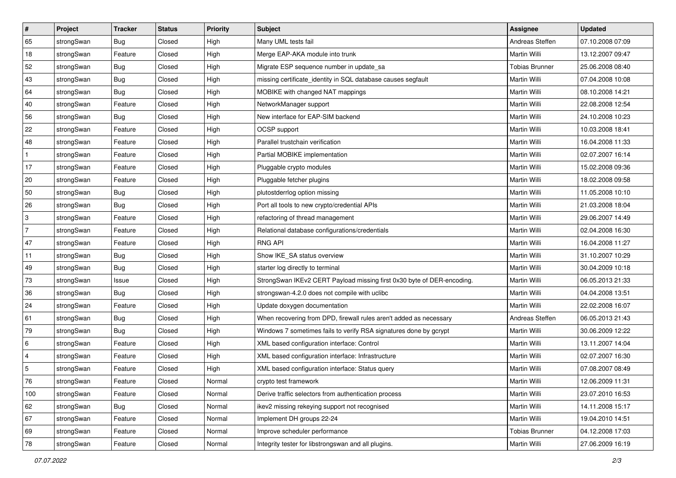| ∦            | Project    | <b>Tracker</b> | <b>Status</b> | <b>Priority</b> | <b>Subject</b>                                                         | <b>Assignee</b>       | <b>Updated</b>   |
|--------------|------------|----------------|---------------|-----------------|------------------------------------------------------------------------|-----------------------|------------------|
| 65           | strongSwan | <b>Bug</b>     | Closed        | High            | Many UML tests fail                                                    | Andreas Steffen       | 07.10.2008 07:09 |
| 18           | strongSwan | Feature        | Closed        | High            | Merge EAP-AKA module into trunk                                        | Martin Willi          | 13.12.2007 09:47 |
| 52           | strongSwan | Bug            | Closed        | High            | Migrate ESP sequence number in update_sa                               | <b>Tobias Brunner</b> | 25.06.2008 08:40 |
| 43           | strongSwan | Bug            | Closed        | High            | missing certificate_identity in SQL database causes segfault           | Martin Willi          | 07.04.2008 10:08 |
| 64           | strongSwan | Bug            | Closed        | High            | MOBIKE with changed NAT mappings                                       | Martin Willi          | 08.10.2008 14:21 |
| 40           | strongSwan | Feature        | Closed        | High            | NetworkManager support                                                 | <b>Martin Willi</b>   | 22.08.2008 12:54 |
| 56           | strongSwan | <b>Bug</b>     | Closed        | High            | New interface for EAP-SIM backend                                      | Martin Willi          | 24.10.2008 10:23 |
| 22           | strongSwan | Feature        | Closed        | High            | OCSP support                                                           | Martin Willi          | 10.03.2008 18:41 |
| 48           | strongSwan | Feature        | Closed        | High            | Parallel trustchain verification                                       | Martin Willi          | 16.04.2008 11:33 |
| $\mathbf{1}$ | strongSwan | Feature        | Closed        | High            | Partial MOBIKE implementation                                          | Martin Willi          | 02.07.2007 16:14 |
| 17           | strongSwan | Feature        | Closed        | High            | Pluggable crypto modules                                               | Martin Willi          | 15.02.2008 09:36 |
| 20           | strongSwan | Feature        | Closed        | High            | Pluggable fetcher plugins                                              | Martin Willi          | 18.02.2008 09:58 |
| 50           | strongSwan | Bug            | Closed        | High            | plutostderrlog option missing                                          | Martin Willi          | 11.05.2008 10:10 |
| 26           | strongSwan | <b>Bug</b>     | Closed        | High            | Port all tools to new crypto/credential APIs                           | Martin Willi          | 21.03.2008 18:04 |
| 3            | strongSwan | Feature        | Closed        | High            | refactoring of thread management                                       | Martin Willi          | 29.06.2007 14:49 |
| <sup>7</sup> | strongSwan | Feature        | Closed        | High            | Relational database configurations/credentials                         | Martin Willi          | 02.04.2008 16:30 |
| 47           | strongSwan | Feature        | Closed        | High            | <b>RNG API</b>                                                         | Martin Willi          | 16.04.2008 11:27 |
| 11           | strongSwan | Bug            | Closed        | High            | Show IKE_SA status overview                                            | Martin Willi          | 31.10.2007 10:29 |
| 49           | strongSwan | <b>Bug</b>     | Closed        | High            | starter log directly to terminal                                       | Martin Willi          | 30.04.2009 10:18 |
| 73           | strongSwan | Issue          | Closed        | High            | StrongSwan IKEv2 CERT Payload missing first 0x30 byte of DER-encoding. | Martin Willi          | 06.05.2013 21:33 |
| 36           | strongSwan | <b>Bug</b>     | Closed        | High            | strongswan-4.2.0 does not compile with uclibc                          | Martin Willi          | 04.04.2008 13:51 |
| 24           | strongSwan | Feature        | Closed        | High            | Update doxygen documentation                                           | Martin Willi          | 22.02.2008 16:07 |
| 61           | strongSwan | Bug            | Closed        | High            | When recovering from DPD, firewall rules aren't added as necessary     | Andreas Steffen       | 06.05.2013 21:43 |
| 79           | strongSwan | <b>Bug</b>     | Closed        | High            | Windows 7 sometimes fails to verify RSA signatures done by gcrypt      | Martin Willi          | 30.06.2009 12:22 |
| 6            | strongSwan | Feature        | Closed        | High            | XML based configuration interface: Control                             | <b>Martin Willi</b>   | 13.11.2007 14:04 |
| 4            | strongSwan | Feature        | Closed        | High            | XML based configuration interface: Infrastructure                      | Martin Willi          | 02.07.2007 16:30 |
| 5            | strongSwan | Feature        | Closed        | High            | XML based configuration interface: Status query                        | Martin Willi          | 07.08.2007 08:49 |
| 76           | strongSwan | Feature        | Closed        | Normal          | crypto test framework                                                  | Martin Willi          | 12.06.2009 11:31 |
| 100          | strongSwan | Feature        | Closed        | Normal          | Derive traffic selectors from authentication process                   | Martin Willi          | 23.07.2010 16:53 |
| 62           | strongSwan | <b>Bug</b>     | Closed        | Normal          | ikev2 missing rekeying support not recognised                          | Martin Willi          | 14.11.2008 15:17 |
| 67           | strongSwan | Feature        | Closed        | Normal          | Implement DH groups 22-24                                              | Martin Willi          | 19.04.2010 14:51 |
| 69           | strongSwan | Feature        | Closed        | Normal          | Improve scheduler performance                                          | <b>Tobias Brunner</b> | 04.12.2008 17:03 |
| 78           | strongSwan | Feature        | Closed        | Normal          | Integrity tester for libstrongswan and all plugins.                    | Martin Willi          | 27.06.2009 16:19 |